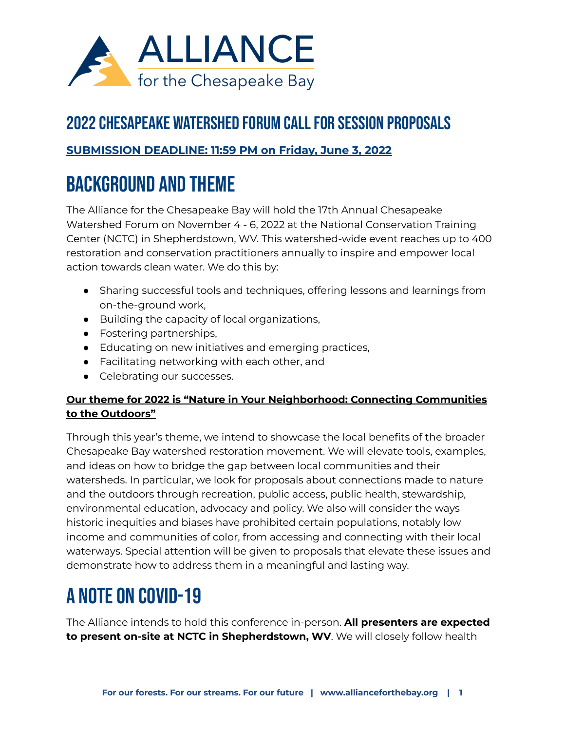

### 2022 [Chesapeake](https://fs28.formsite.com/bayalliance/hjmoswsput/index.html) Watershed Forum Callfor Session Proposals

### **SUBMISSION DEADLINE: 11:59 PM on Friday, June 3, 2022**

## Background and Theme

The Alliance for the Chesapeake Bay will hold the 17th Annual Chesapeake Watershed Forum on November 4 - 6, 2022 at the National Conservation Training Center (NCTC) in Shepherdstown, WV. This watershed-wide event reaches up to 400 restoration and conservation practitioners annually to inspire and empower local action towards clean water. We do this by:

- Sharing successful tools and techniques, offering lessons and learnings from on-the-ground work,
- Building the capacity of local organizations,
- Fostering partnerships,
- Educating on new initiatives and emerging practices,
- Facilitating networking with each other, and
- Celebrating our successes.

### **Our theme for 2022 is "Nature in Your Neighborhood: Connecting Communities to the Outdoors"**

Through this year's theme, we intend to showcase the local benefits of the broader Chesapeake Bay watershed restoration movement. We will elevate tools, examples, and ideas on how to bridge the gap between local communities and their watersheds. In particular, we look for proposals about connections made to nature and the outdoors through recreation, public access, public health, stewardship, environmental education, advocacy and policy. We also will consider the ways historic inequities and biases have prohibited certain populations, notably low income and communities of color, from accessing and connecting with their local waterways. Special attention will be given to proposals that elevate these issues and demonstrate how to address them in a meaningful and lasting way.

# A note on COVID-19

The Alliance intends to hold this conference in-person. **All presenters are expected to present on-site at NCTC in Shepherdstown, WV**. We will closely follow health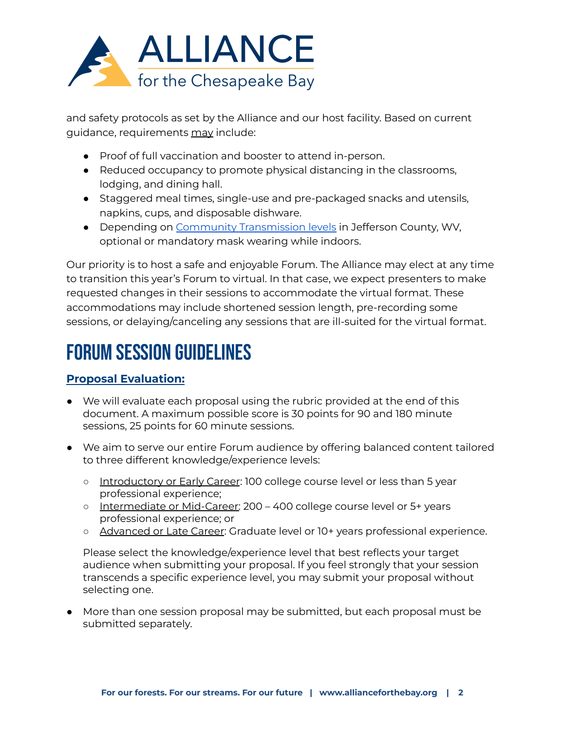

and safety protocols as set by the Alliance and our host facility. Based on current guidance, requirements may include:

- Proof of full vaccination and booster to attend in-person.
- Reduced occupancy to promote physical distancing in the classrooms, lodging, and dining hall.
- Staggered meal times, single-use and pre-packaged snacks and utensils, napkins, cups, and disposable dishware.
- Depending on Community [Transmission](https://www.cdc.gov/coronavirus/2019-ncov/science/community-levels.html) levels in Jefferson County, WV, optional or mandatory mask wearing while indoors.

Our priority is to host a safe and enjoyable Forum. The Alliance may elect at any time to transition this year's Forum to virtual. In that case, we expect presenters to make requested changes in their sessions to accommodate the virtual format. These accommodations may include shortened session length, pre-recording some sessions, or delaying/canceling any sessions that are ill-suited for the virtual format.

## Forum Session Guidelines

### **Proposal Evaluation:**

- We will evaluate each proposal using the rubric provided at the end of this document. A maximum possible score is 30 points for 90 and 180 minute sessions, 25 points for 60 minute sessions.
- We aim to serve our entire Forum audience by offering balanced content tailored to three different knowledge/experience levels:
	- o Introductory or Early Career: 100 college course level or less than 5 year professional experience;
	- o Intermediate or Mid-Career: 200 400 college course level or 5+ years professional experience; or
	- Advanced or Late Career: Graduate level or 10+ years professional experience.

Please select the knowledge/experience level that best reflects your target audience when submitting your proposal. If you feel strongly that your session transcends a specific experience level, you may submit your proposal without selecting one.

● More than one session proposal may be submitted, but each proposal must be submitted separately.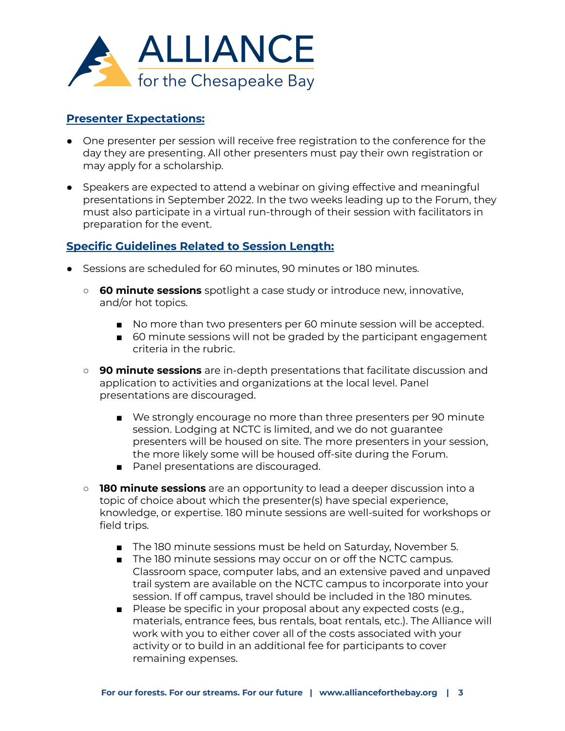

#### **Presenter Expectations:**

- One presenter per session will receive free registration to the conference for the day they are presenting. All other presenters must pay their own registration or may apply for a scholarship.
- Speakers are expected to attend a webinar on giving effective and meaningful presentations in September 2022. In the two weeks leading up to the Forum, they must also participate in a virtual run-through of their session with facilitators in preparation for the event.

#### **Specific Guidelines Related to Session Length:**

- Sessions are scheduled for 60 minutes, 90 minutes or 180 minutes.
	- **60 minute sessions** spotlight a case study or introduce new, innovative, and/or hot topics.
		- No more than two presenters per 60 minute session will be accepted.
		- 60 minute sessions will not be graded by the participant engagement criteria in the rubric.
	- **90 minute sessions** are in-depth presentations that facilitate discussion and application to activities and organizations at the local level. Panel presentations are discouraged.
		- We strongly encourage no more than three presenters per 90 minute session. Lodging at NCTC is limited, and we do not guarantee presenters will be housed on site. The more presenters in your session, the more likely some will be housed off-site during the Forum.
		- Panel presentations are discouraged.
	- **180 minute sessions** are an opportunity to lead a deeper discussion into a topic of choice about which the presenter(s) have special experience, knowledge, or expertise. 180 minute sessions are well-suited for workshops or field trips.
		- The 180 minute sessions must be held on Saturday, November 5.
		- The 180 minute sessions may occur on or off the NCTC campus. Classroom space, computer labs, and an extensive paved and unpaved trail system are available on the NCTC campus to incorporate into your session. If off campus, travel should be included in the 180 minutes.
		- Please be specific in your proposal about any expected costs (e.g., materials, entrance fees, bus rentals, boat rentals, etc.). The Alliance will work with you to either cover all of the costs associated with your activity or to build in an additional fee for participants to cover remaining expenses.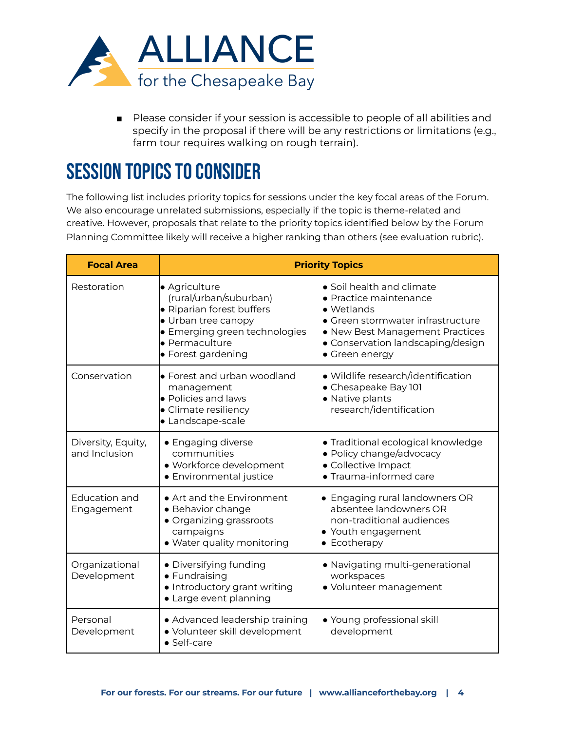

■ Please consider if your session is accessible to people of all abilities and specify in the proposal if there will be any restrictions or limitations (e.g., farm tour requires walking on rough terrain).

## **SESSION TOPICS TO CONSIDER**

The following list includes priority topics for sessions under the key focal areas of the Forum. We also encourage unrelated submissions, especially if the topic is theme-related and creative. However, proposals that relate to the priority topics identified below by the Forum Planning Committee likely will receive a higher ranking than others (see evaluation rubric).

| <b>Focal Area</b>                   | <b>Priority Topics</b>                                                                                                                                               |                                                                                                                                                                                                  |  |  |  |
|-------------------------------------|----------------------------------------------------------------------------------------------------------------------------------------------------------------------|--------------------------------------------------------------------------------------------------------------------------------------------------------------------------------------------------|--|--|--|
| Restoration                         | · Agriculture<br>(rural/urban/suburban)<br>· Riparian forest buffers<br>• Urban tree canopy<br>• Emerging green technologies<br>· Permaculture<br>• Forest gardening | · Soil health and climate<br>• Practice maintenance<br>• Wetlands<br>• Green stormwater infrastructure<br>• New Best Management Practices<br>• Conservation landscaping/design<br>• Green energy |  |  |  |
| Conservation                        | • Forest and urban woodland<br>management<br>• Policies and laws<br>• Climate resiliency<br>• Landscape-scale                                                        | • Wildlife research/identification<br>• Chesapeake Bay 101<br>· Native plants<br>research/identification                                                                                         |  |  |  |
| Diversity, Equity,<br>and Inclusion | • Engaging diverse<br>communities<br>· Workforce development<br>• Environmental justice                                                                              | • Traditional ecological knowledge<br>• Policy change/advocacy<br>· Collective Impact<br>• Trauma-informed care                                                                                  |  |  |  |
| Education and<br>Engagement         | • Art and the Environment<br>· Behavior change<br>• Organizing grassroots<br>campaigns<br>• Water quality monitoring                                                 | • Engaging rural landowners OR<br>absentee landowners OR<br>non-traditional audiences<br>• Youth engagement<br>• Ecotherapy                                                                      |  |  |  |
| Organizational<br>Development       | • Diversifying funding<br>• Fundraising<br>• Introductory grant writing<br>• Large event planning                                                                    | • Navigating multi-generational<br>workspaces<br>· Volunteer management                                                                                                                          |  |  |  |
| Personal<br>Development             | • Advanced leadership training<br>· Volunteer skill development<br>· Self-care                                                                                       | • Young professional skill<br>development                                                                                                                                                        |  |  |  |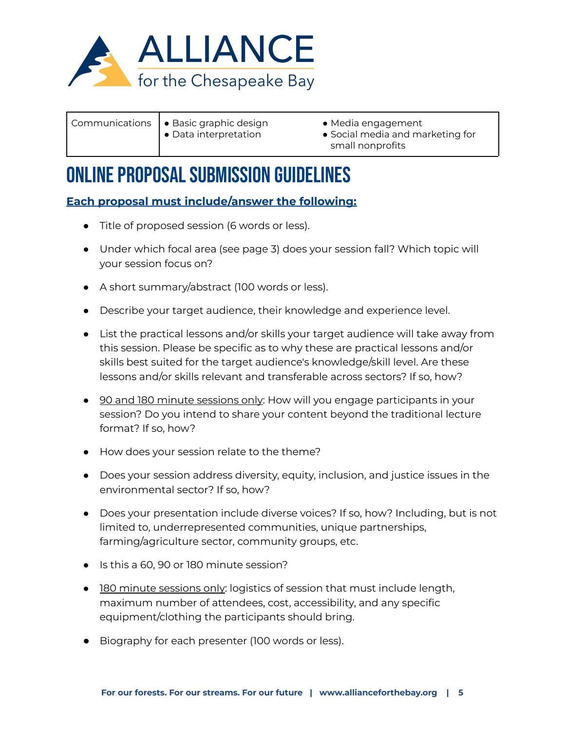

- Communications | Basic graphic design
	- Data interpretation
- Media engagement
- Social media and marketing for small nonprofits

## ONLINE PROPOSAL SUBMISSION GUIDELINES

### **Each proposal must include/answer the following:**

- Title of proposed session (6 words or less).
- Under which focal area (see page 3) does your session fall? Which topic will your session focus on?
- A short summary/abstract (100 words or less).
- Describe your target audience, their knowledge and experience level.
- List the practical lessons and/or skills your target audience will take away from this session. Please be specific as to why these are practical lessons and/or skills best suited for the target audience's knowledge/skill level. Are these lessons and/or skills relevant and transferable across sectors? If so, how?
- 90 and 180 minute sessions only: How will you engage participants in your session? Do you intend to share your content beyond the traditional lecture format? If so, how?
- How does your session relate to the theme?
- Does your session address diversity, equity, inclusion, and justice issues in the environmental sector? If so, how?
- Does your presentation include diverse voices? If so, how? Including, but is not limited to, underrepresented communities, unique partnerships, farming/agriculture sector, community groups, etc.
- Is this a 60, 90 or 180 minute session?
- 180 minute sessions only: logistics of session that must include length, maximum number of attendees, cost, accessibility, and any specific equipment/clothing the participants should bring.
- Biography for each presenter (100 words or less).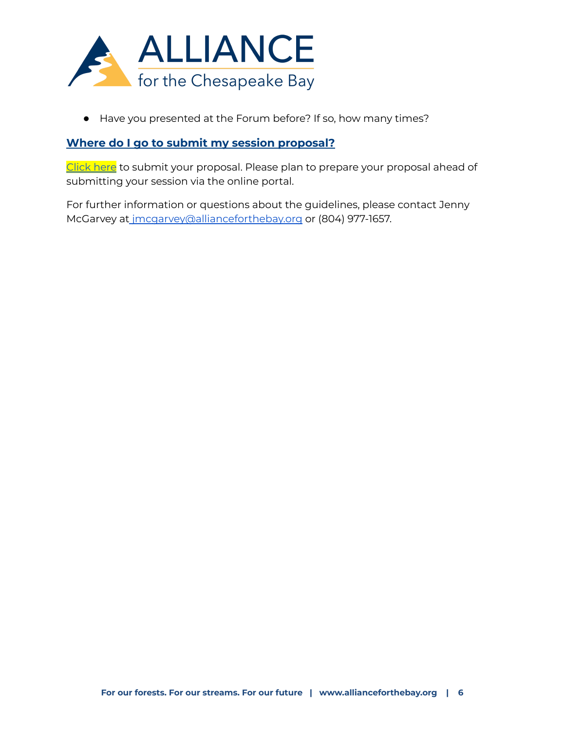

● Have you presented at the Forum before? If so, how many times?

#### **Where do I go to submit my session proposal?**

[Click](https://fs28.formsite.com/bayalliance/hjmoswsput/index.html) here to submit your proposal. Please plan to prepare your proposal ahead of submitting your session via the online portal.

For further information or questions about the guidelines, please contact Jenny McGarvey at [jmcgarvey@allianceforthebay.org](mailto:jmcgarvey@allianceforthebay.org) or (804) 977-1657.